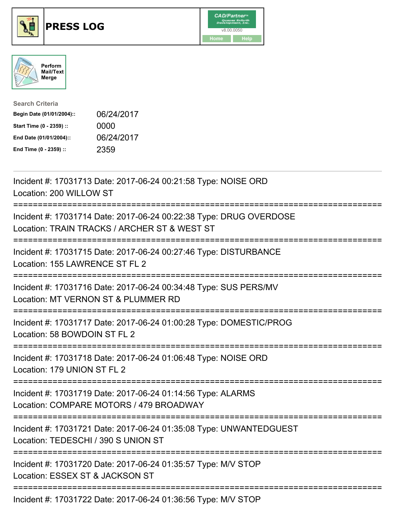

## **PRESS LOG** v8.00.0050





| <b>Search Criteria</b>    |            |
|---------------------------|------------|
| Begin Date (01/01/2004):: | 06/24/2017 |
| Start Time (0 - 2359) ::  | 0000       |
| End Date (01/01/2004)::   | 06/24/2017 |
| End Time (0 - 2359) ::    | 2359       |

Incident #: 17031713 Date: 2017-06-24 00:21:58 Type: NOISE ORD Location: 200 WILLOW ST =========================================================================== Incident #: 17031714 Date: 2017-06-24 00:22:38 Type: DRUG OVERDOSE Location: TRAIN TRACKS / ARCHER ST & WEST ST =========================================================================== Incident #: 17031715 Date: 2017-06-24 00:27:46 Type: DISTURBANCE Location: 155 LAWRENCE ST FL 2 =========================================================================== Incident #: 17031716 Date: 2017-06-24 00:34:48 Type: SUS PERS/MV Location: MT VERNON ST & PLUMMER RD =========================================================================== Incident #: 17031717 Date: 2017-06-24 01:00:28 Type: DOMESTIC/PROG Location: 58 BOWDOIN ST FL 2 =========================================================================== Incident #: 17031718 Date: 2017-06-24 01:06:48 Type: NOISE ORD Location: 179 UNION ST FL 2 =========================================================================== Incident #: 17031719 Date: 2017-06-24 01:14:56 Type: ALARMS Location: COMPARE MOTORS / 479 BROADWAY =========================================================================== Incident #: 17031721 Date: 2017-06-24 01:35:08 Type: UNWANTEDGUEST Location: TEDESCHI / 390 S UNION ST =========================================================================== Incident #: 17031720 Date: 2017-06-24 01:35:57 Type: M/V STOP Location: ESSEX ST & JACKSON ST ===========================================================================

Incident #: 17031722 Date: 2017-06-24 01:36:56 Type: M/V STOP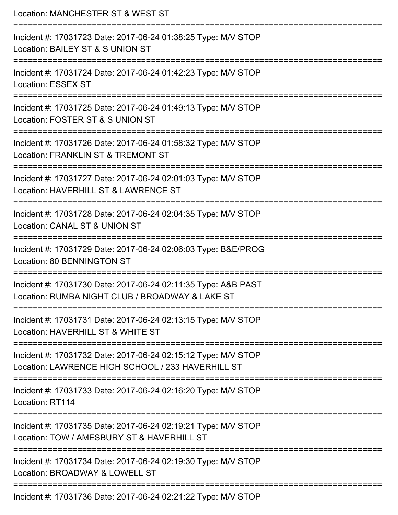| Location: MANCHESTER ST & WEST ST                                                                                                   |
|-------------------------------------------------------------------------------------------------------------------------------------|
| Incident #: 17031723 Date: 2017-06-24 01:38:25 Type: M/V STOP<br>Location: BAILEY ST & S UNION ST                                   |
| Incident #: 17031724 Date: 2017-06-24 01:42:23 Type: M/V STOP<br><b>Location: ESSEX ST</b>                                          |
| Incident #: 17031725 Date: 2017-06-24 01:49:13 Type: M/V STOP<br>Location: FOSTER ST & S UNION ST                                   |
| Incident #: 17031726 Date: 2017-06-24 01:58:32 Type: M/V STOP<br>Location: FRANKLIN ST & TREMONT ST                                 |
| Incident #: 17031727 Date: 2017-06-24 02:01:03 Type: M/V STOP<br>Location: HAVERHILL ST & LAWRENCE ST<br>========================== |
| Incident #: 17031728 Date: 2017-06-24 02:04:35 Type: M/V STOP<br>Location: CANAL ST & UNION ST                                      |
| Incident #: 17031729 Date: 2017-06-24 02:06:03 Type: B&E/PROG<br>Location: 80 BENNINGTON ST                                         |
| Incident #: 17031730 Date: 2017-06-24 02:11:35 Type: A&B PAST<br>Location: RUMBA NIGHT CLUB / BROADWAY & LAKE ST                    |
| Incident #: 17031731 Date: 2017-06-24 02:13:15 Type: M/V STOP<br>Location: HAVERHILL ST & WHITE ST                                  |
| Incident #: 17031732 Date: 2017-06-24 02:15:12 Type: M/V STOP<br>Location: LAWRENCE HIGH SCHOOL / 233 HAVERHILL ST                  |
| Incident #: 17031733 Date: 2017-06-24 02:16:20 Type: M/V STOP<br>Location: RT114                                                    |
| Incident #: 17031735 Date: 2017-06-24 02:19:21 Type: M/V STOP<br>Location: TOW / AMESBURY ST & HAVERHILL ST                         |
| Incident #: 17031734 Date: 2017-06-24 02:19:30 Type: M/V STOP<br>Location: BROADWAY & LOWELL ST                                     |
| Incident #: 17031736 Date: 2017-06-24 02:21:22 Type: M/V STOP                                                                       |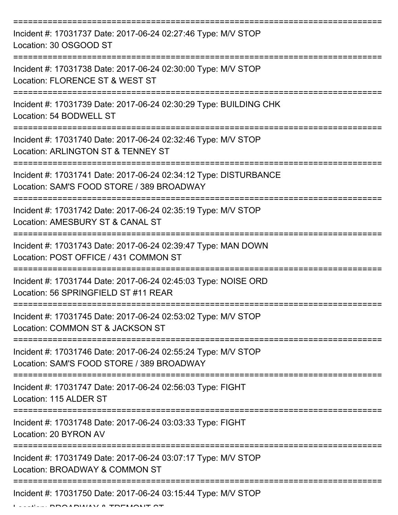| Incident #: 17031737 Date: 2017-06-24 02:27:46 Type: M/V STOP<br>Location: 30 OSGOOD ST                       |
|---------------------------------------------------------------------------------------------------------------|
| Incident #: 17031738 Date: 2017-06-24 02:30:00 Type: M/V STOP<br>Location: FLORENCE ST & WEST ST              |
| Incident #: 17031739 Date: 2017-06-24 02:30:29 Type: BUILDING CHK<br>Location: 54 BODWELL ST                  |
| Incident #: 17031740 Date: 2017-06-24 02:32:46 Type: M/V STOP<br>Location: ARLINGTON ST & TENNEY ST           |
| Incident #: 17031741 Date: 2017-06-24 02:34:12 Type: DISTURBANCE<br>Location: SAM'S FOOD STORE / 389 BROADWAY |
| Incident #: 17031742 Date: 2017-06-24 02:35:19 Type: M/V STOP<br>Location: AMESBURY ST & CANAL ST             |
| Incident #: 17031743 Date: 2017-06-24 02:39:47 Type: MAN DOWN<br>Location: POST OFFICE / 431 COMMON ST        |
| Incident #: 17031744 Date: 2017-06-24 02:45:03 Type: NOISE ORD<br>Location: 56 SPRINGFIELD ST #11 REAR        |
| Incident #: 17031745 Date: 2017-06-24 02:53:02 Type: M/V STOP<br>Location: COMMON ST & JACKSON ST             |
| Incident #: 17031746 Date: 2017-06-24 02:55:24 Type: M/V STOP<br>Location: SAM'S FOOD STORE / 389 BROADWAY    |
| Incident #: 17031747 Date: 2017-06-24 02:56:03 Type: FIGHT<br>Location: 115 ALDER ST                          |
| Incident #: 17031748 Date: 2017-06-24 03:03:33 Type: FIGHT<br>Location: 20 BYRON AV                           |
| Incident #: 17031749 Date: 2017-06-24 03:07:17 Type: M/V STOP<br>Location: BROADWAY & COMMON ST               |
| Incident #: 17031750 Date: 2017-06-24 03:15:44 Type: M/V STOP                                                 |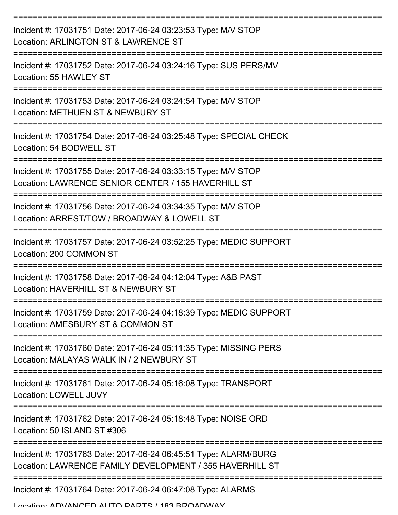| Incident #: 17031751 Date: 2017-06-24 03:23:53 Type: M/V STOP<br>Location: ARLINGTON ST & LAWRENCE ST                       |
|-----------------------------------------------------------------------------------------------------------------------------|
| Incident #: 17031752 Date: 2017-06-24 03:24:16 Type: SUS PERS/MV<br>Location: 55 HAWLEY ST                                  |
| Incident #: 17031753 Date: 2017-06-24 03:24:54 Type: M/V STOP<br>Location: METHUEN ST & NEWBURY ST                          |
| Incident #: 17031754 Date: 2017-06-24 03:25:48 Type: SPECIAL CHECK<br>Location: 54 BODWELL ST                               |
| Incident #: 17031755 Date: 2017-06-24 03:33:15 Type: M/V STOP<br>Location: LAWRENCE SENIOR CENTER / 155 HAVERHILL ST        |
| Incident #: 17031756 Date: 2017-06-24 03:34:35 Type: M/V STOP<br>Location: ARREST/TOW / BROADWAY & LOWELL ST                |
| Incident #: 17031757 Date: 2017-06-24 03:52:25 Type: MEDIC SUPPORT<br>Location: 200 COMMON ST                               |
| Incident #: 17031758 Date: 2017-06-24 04:12:04 Type: A&B PAST<br>Location: HAVERHILL ST & NEWBURY ST                        |
| Incident #: 17031759 Date: 2017-06-24 04:18:39 Type: MEDIC SUPPORT<br>Location: AMESBURY ST & COMMON ST                     |
| Incident #: 17031760 Date: 2017-06-24 05:11:35 Type: MISSING PERS<br>Location: MALAYAS WALK IN / 2 NEWBURY ST               |
| Incident #: 17031761 Date: 2017-06-24 05:16:08 Type: TRANSPORT<br>Location: LOWELL JUVY                                     |
| Incident #: 17031762 Date: 2017-06-24 05:18:48 Type: NOISE ORD<br>Location: 50 ISLAND ST #306                               |
| Incident #: 17031763 Date: 2017-06-24 06:45:51 Type: ALARM/BURG<br>Location: LAWRENCE FAMILY DEVELOPMENT / 355 HAVERHILL ST |
| Incident #: 17031764 Date: 2017-06-24 06:47:08 Type: ALARMS                                                                 |

Location: ADVANCED ALITO DADTC / 183 BDOADWAV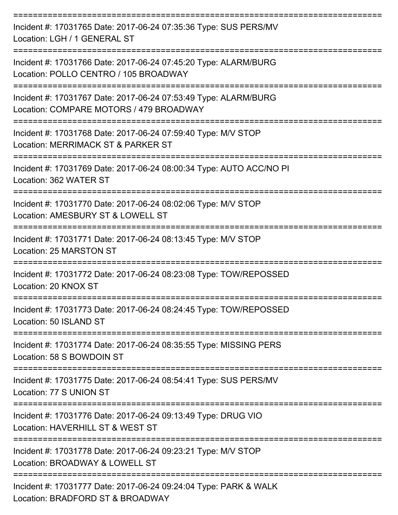| Incident #: 17031765 Date: 2017-06-24 07:35:36 Type: SUS PERS/MV<br>Location: LGH / 1 GENERAL ST                                |
|---------------------------------------------------------------------------------------------------------------------------------|
| Incident #: 17031766 Date: 2017-06-24 07:45:20 Type: ALARM/BURG<br>Location: POLLO CENTRO / 105 BROADWAY                        |
| Incident #: 17031767 Date: 2017-06-24 07:53:49 Type: ALARM/BURG<br>Location: COMPARE MOTORS / 479 BROADWAY                      |
| Incident #: 17031768 Date: 2017-06-24 07:59:40 Type: M/V STOP<br>Location: MERRIMACK ST & PARKER ST                             |
| Incident #: 17031769 Date: 2017-06-24 08:00:34 Type: AUTO ACC/NO PI<br>Location: 362 WATER ST                                   |
| Incident #: 17031770 Date: 2017-06-24 08:02:06 Type: M/V STOP<br>Location: AMESBURY ST & LOWELL ST                              |
| Incident #: 17031771 Date: 2017-06-24 08:13:45 Type: M/V STOP<br><b>Location: 25 MARSTON ST</b>                                 |
| Incident #: 17031772 Date: 2017-06-24 08:23:08 Type: TOW/REPOSSED<br>Location: 20 KNOX ST                                       |
| Incident #: 17031773 Date: 2017-06-24 08:24:45 Type: TOW/REPOSSED<br>Location: 50 ISLAND ST                                     |
| =================<br>Incident #: 17031774 Date: 2017-06-24 08:35:55 Type: MISSING PERS<br>Location: 58 S BOWDOIN ST             |
| Incident #: 17031775 Date: 2017-06-24 08:54:41 Type: SUS PERS/MV<br>Location: 77 S UNION ST                                     |
| ==========================<br>Incident #: 17031776 Date: 2017-06-24 09:13:49 Type: DRUG VIO<br>Location: HAVERHILL ST & WEST ST |
| Incident #: 17031778 Date: 2017-06-24 09:23:21 Type: M/V STOP<br>Location: BROADWAY & LOWELL ST                                 |
| Incident #: 17031777 Date: 2017-06-24 09:24:04 Type: PARK & WALK<br>BEARD OT & BBAIRW                                           |

Location: BRADFORD ST & BROADWAY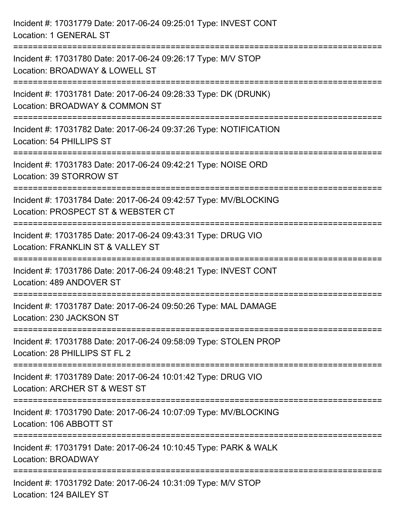| Incident #: 17031779 Date: 2017-06-24 09:25:01 Type: INVEST CONT<br>Location: 1 GENERAL ST                                                |
|-------------------------------------------------------------------------------------------------------------------------------------------|
| Incident #: 17031780 Date: 2017-06-24 09:26:17 Type: M/V STOP<br>Location: BROADWAY & LOWELL ST                                           |
| Incident #: 17031781 Date: 2017-06-24 09:28:33 Type: DK (DRUNK)<br>Location: BROADWAY & COMMON ST<br>:===================                 |
| Incident #: 17031782 Date: 2017-06-24 09:37:26 Type: NOTIFICATION<br>Location: 54 PHILLIPS ST                                             |
| Incident #: 17031783 Date: 2017-06-24 09:42:21 Type: NOISE ORD<br>Location: 39 STORROW ST                                                 |
| Incident #: 17031784 Date: 2017-06-24 09:42:57 Type: MV/BLOCKING<br>Location: PROSPECT ST & WEBSTER CT<br>:============================== |
| Incident #: 17031785 Date: 2017-06-24 09:43:31 Type: DRUG VIO<br>Location: FRANKLIN ST & VALLEY ST                                        |
| Incident #: 17031786 Date: 2017-06-24 09:48:21 Type: INVEST CONT<br>Location: 489 ANDOVER ST                                              |
| Incident #: 17031787 Date: 2017-06-24 09:50:26 Type: MAL DAMAGE<br>Location: 230 JACKSON ST                                               |
| Incident #: 17031788 Date: 2017-06-24 09:58:09 Type: STOLEN PROP<br>Location: 28 PHILLIPS ST FL 2                                         |
| Incident #: 17031789 Date: 2017-06-24 10:01:42 Type: DRUG VIO<br>Location: ARCHER ST & WEST ST                                            |
| Incident #: 17031790 Date: 2017-06-24 10:07:09 Type: MV/BLOCKING<br>Location: 106 ABBOTT ST                                               |
| Incident #: 17031791 Date: 2017-06-24 10:10:45 Type: PARK & WALK<br>Location: BROADWAY                                                    |
| Incident #: 17031792 Date: 2017-06-24 10:31:09 Type: M/V STOP<br>Location: 124 BAILEY ST                                                  |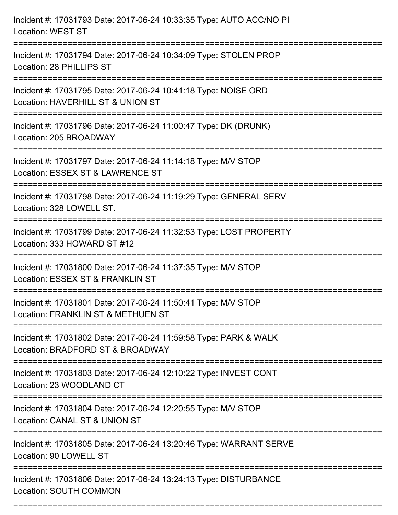| Incident #: 17031793 Date: 2017-06-24 10:33:35 Type: AUTO ACC/NO PI<br><b>Location: WEST ST</b>                                |
|--------------------------------------------------------------------------------------------------------------------------------|
| Incident #: 17031794 Date: 2017-06-24 10:34:09 Type: STOLEN PROP<br>Location: 28 PHILLIPS ST                                   |
| Incident #: 17031795 Date: 2017-06-24 10:41:18 Type: NOISE ORD<br>Location: HAVERHILL ST & UNION ST<br>======================= |
| Incident #: 17031796 Date: 2017-06-24 11:00:47 Type: DK (DRUNK)<br>Location: 205 BROADWAY                                      |
| Incident #: 17031797 Date: 2017-06-24 11:14:18 Type: M/V STOP<br>Location: ESSEX ST & LAWRENCE ST<br>:================         |
| Incident #: 17031798 Date: 2017-06-24 11:19:29 Type: GENERAL SERV<br>Location: 328 LOWELL ST.                                  |
| Incident #: 17031799 Date: 2017-06-24 11:32:53 Type: LOST PROPERTY<br>Location: 333 HOWARD ST #12                              |
| Incident #: 17031800 Date: 2017-06-24 11:37:35 Type: M/V STOP<br>Location: ESSEX ST & FRANKLIN ST                              |
| Incident #: 17031801 Date: 2017-06-24 11:50:41 Type: M/V STOP<br>Location: FRANKLIN ST & METHUEN ST                            |
| Incident #: 17031802 Date: 2017-06-24 11:59:58 Type: PARK & WALK<br>Location: BRADFORD ST & BROADWAY                           |
| Incident #: 17031803 Date: 2017-06-24 12:10:22 Type: INVEST CONT<br>Location: 23 WOODLAND CT                                   |
| Incident #: 17031804 Date: 2017-06-24 12:20:55 Type: M/V STOP<br>Location: CANAL ST & UNION ST                                 |
| Incident #: 17031805 Date: 2017-06-24 13:20:46 Type: WARRANT SERVE<br>Location: 90 LOWELL ST                                   |
| Incident #: 17031806 Date: 2017-06-24 13:24:13 Type: DISTURBANCE<br>Location: SOUTH COMMON                                     |

===========================================================================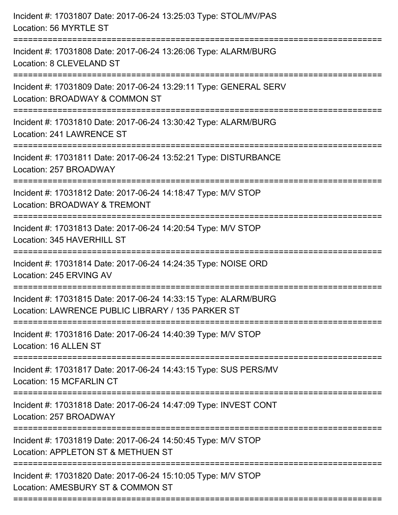| Incident #: 17031807 Date: 2017-06-24 13:25:03 Type: STOL/MV/PAS<br>Location: 56 MYRTLE ST                           |
|----------------------------------------------------------------------------------------------------------------------|
| Incident #: 17031808 Date: 2017-06-24 13:26:06 Type: ALARM/BURG<br>Location: 8 CLEVELAND ST                          |
| Incident #: 17031809 Date: 2017-06-24 13:29:11 Type: GENERAL SERV<br>Location: BROADWAY & COMMON ST                  |
| Incident #: 17031810 Date: 2017-06-24 13:30:42 Type: ALARM/BURG<br>Location: 241 LAWRENCE ST                         |
| Incident #: 17031811 Date: 2017-06-24 13:52:21 Type: DISTURBANCE<br>Location: 257 BROADWAY                           |
| Incident #: 17031812 Date: 2017-06-24 14:18:47 Type: M/V STOP<br>Location: BROADWAY & TREMONT                        |
| Incident #: 17031813 Date: 2017-06-24 14:20:54 Type: M/V STOP<br>Location: 345 HAVERHILL ST                          |
| Incident #: 17031814 Date: 2017-06-24 14:24:35 Type: NOISE ORD<br>Location: 245 ERVING AV                            |
| Incident #: 17031815 Date: 2017-06-24 14:33:15 Type: ALARM/BURG<br>Location: LAWRENCE PUBLIC LIBRARY / 135 PARKER ST |
| Incident #: 17031816 Date: 2017-06-24 14:40:39 Type: M/V STOP<br>Location: 16 ALLEN ST                               |
| Incident #: 17031817 Date: 2017-06-24 14:43:15 Type: SUS PERS/MV<br>Location: 15 MCFARLIN CT                         |
| Incident #: 17031818 Date: 2017-06-24 14:47:09 Type: INVEST CONT<br>Location: 257 BROADWAY                           |
| Incident #: 17031819 Date: 2017-06-24 14:50:45 Type: M/V STOP<br>Location: APPLETON ST & METHUEN ST                  |
| Incident #: 17031820 Date: 2017-06-24 15:10:05 Type: M/V STOP<br>Location: AMESBURY ST & COMMON ST                   |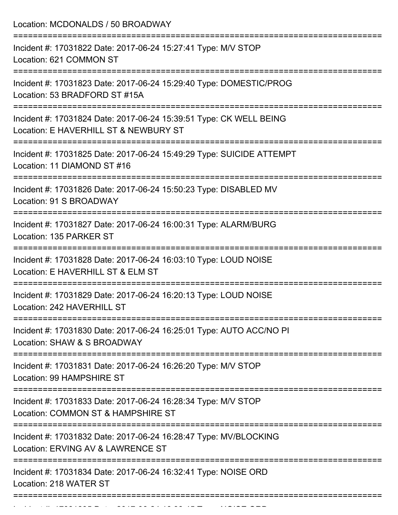Location: MCDONALDS / 50 BROADWAY =========================================================================== Incident #: 17031822 Date: 2017-06-24 15:27:41 Type: M/V STOP Location: 621 COMMON ST =========================================================================== Incident #: 17031823 Date: 2017-06-24 15:29:40 Type: DOMESTIC/PROG Location: 53 BRADFORD ST #15A =========================================================================== Incident #: 17031824 Date: 2017-06-24 15:39:51 Type: CK WELL BEING Location: E HAVERHILL ST & NEWBURY ST =========================================================================== Incident #: 17031825 Date: 2017-06-24 15:49:29 Type: SUICIDE ATTEMPT Location: 11 DIAMOND ST #16 =========================================================================== Incident #: 17031826 Date: 2017-06-24 15:50:23 Type: DISABLED MV Location: 91 S BROADWAY =========================================================================== Incident #: 17031827 Date: 2017-06-24 16:00:31 Type: ALARM/BURG Location: 135 PARKER ST =========================================================================== Incident #: 17031828 Date: 2017-06-24 16:03:10 Type: LOUD NOISE Location: E HAVERHILL ST & ELM ST =========================================================================== Incident #: 17031829 Date: 2017-06-24 16:20:13 Type: LOUD NOISE Location: 242 HAVERHILL ST =========================================================================== Incident #: 17031830 Date: 2017-06-24 16:25:01 Type: AUTO ACC/NO PI Location: SHAW & S BROADWAY =========================================================================== Incident #: 17031831 Date: 2017-06-24 16:26:20 Type: M/V STOP Location: 99 HAMPSHIRE ST =========================================================================== Incident #: 17031833 Date: 2017-06-24 16:28:34 Type: M/V STOP Location: COMMON ST & HAMPSHIRE ST =========================================================================== Incident #: 17031832 Date: 2017-06-24 16:28:47 Type: MV/BLOCKING Location: ERVING AV & LAWRENCE ST =========================================================================== Incident #: 17031834 Date: 2017-06-24 16:32:41 Type: NOISE ORD Location: 218 WATER ST ===========================================================================

Incident #: 17031835 Date: 2017 06 24 16:38:45 Date: NOISE ORD<br>.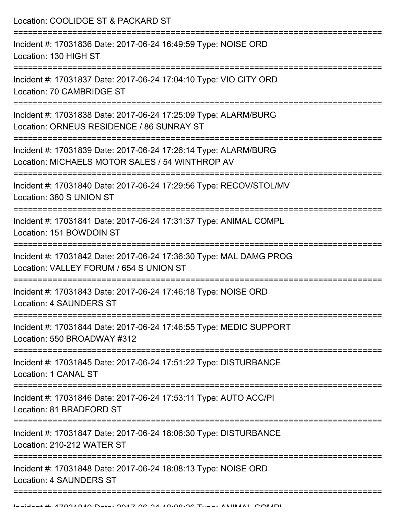Location: COOLIDGE ST & PACKARD ST

| Incident #: 17031836 Date: 2017-06-24 16:49:59 Type: NOISE ORD<br>Location: 130 HIGH ST                            |
|--------------------------------------------------------------------------------------------------------------------|
| Incident #: 17031837 Date: 2017-06-24 17:04:10 Type: VIO CITY ORD<br>Location: 70 CAMBRIDGE ST                     |
| Incident #: 17031838 Date: 2017-06-24 17:25:09 Type: ALARM/BURG<br>Location: ORNEUS RESIDENCE / 86 SUNRAY ST       |
| Incident #: 17031839 Date: 2017-06-24 17:26:14 Type: ALARM/BURG<br>Location: MICHAELS MOTOR SALES / 54 WINTHROP AV |
| Incident #: 17031840 Date: 2017-06-24 17:29:56 Type: RECOV/STOL/MV<br>Location: 380 S UNION ST                     |
| Incident #: 17031841 Date: 2017-06-24 17:31:37 Type: ANIMAL COMPL<br>Location: 151 BOWDOIN ST                      |
| Incident #: 17031842 Date: 2017-06-24 17:36:30 Type: MAL DAMG PROG<br>Location: VALLEY FORUM / 654 S UNION ST      |
| Incident #: 17031843 Date: 2017-06-24 17:46:18 Type: NOISE ORD<br><b>Location: 4 SAUNDERS ST</b>                   |
| Incident #: 17031844 Date: 2017-06-24 17:46:55 Type: MEDIC SUPPORT<br>Location: 550 BROADWAY #312                  |
| Incident #: 17031845 Date: 2017-06-24 17:51:22 Type: DISTURBANCE<br>Location: 1 CANAL ST                           |
| Incident #: 17031846 Date: 2017-06-24 17:53:11 Type: AUTO ACC/PI<br>Location: 81 BRADFORD ST                       |
| Incident #: 17031847 Date: 2017-06-24 18:06:30 Type: DISTURBANCE<br>Location: 210-212 WATER ST                     |
| Incident #: 17031848 Date: 2017-06-24 18:08:13 Type: NOISE ORD<br><b>Location: 4 SAUNDERS ST</b>                   |
|                                                                                                                    |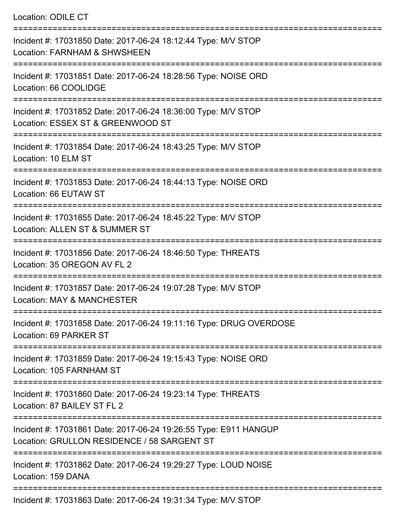| <b>Location: ODILE CT</b>                                                                                                                                        |
|------------------------------------------------------------------------------------------------------------------------------------------------------------------|
| Incident #: 17031850 Date: 2017-06-24 18:12:44 Type: M/V STOP<br>Location: FARNHAM & SHWSHEEN                                                                    |
| Incident #: 17031851 Date: 2017-06-24 18:28:56 Type: NOISE ORD<br>Location: 66 COOLIDGE                                                                          |
| Incident #: 17031852 Date: 2017-06-24 18:36:00 Type: M/V STOP<br>Location: ESSEX ST & GREENWOOD ST                                                               |
| Incident #: 17031854 Date: 2017-06-24 18:43:25 Type: M/V STOP<br>Location: 10 ELM ST                                                                             |
| Incident #: 17031853 Date: 2017-06-24 18:44:13 Type: NOISE ORD<br>Location: 66 EUTAW ST                                                                          |
| Incident #: 17031855 Date: 2017-06-24 18:45:22 Type: M/V STOP<br>Location: ALLEN ST & SUMMER ST                                                                  |
| Incident #: 17031856 Date: 2017-06-24 18:46:50 Type: THREATS<br>Location: 35 OREGON AV FL 2                                                                      |
| Incident #: 17031857 Date: 2017-06-24 19:07:28 Type: M/V STOP<br>Location: MAY & MANCHESTER<br>:==================================<br>========================== |
| Incident #: 17031858 Date: 2017-06-24 19:11:16 Type: DRUG OVERDOSE<br>Location: 69 PARKER ST                                                                     |
| Incident #: 17031859 Date: 2017-06-24 19:15:43 Type: NOISE ORD<br>Location: 105 FARNHAM ST                                                                       |
| Incident #: 17031860 Date: 2017-06-24 19:23:14 Type: THREATS<br>Location: 87 BAILEY ST FL 2                                                                      |
| Incident #: 17031861 Date: 2017-06-24 19:26:55 Type: E911 HANGUP<br>Location: GRULLON RESIDENCE / 58 SARGENT ST                                                  |
| Incident #: 17031862 Date: 2017-06-24 19:29:27 Type: LOUD NOISE<br>Location: 159 DANA                                                                            |
|                                                                                                                                                                  |

Incident #: 17031863 Date: 2017-06-24 19:31:34 Type: M/V STOP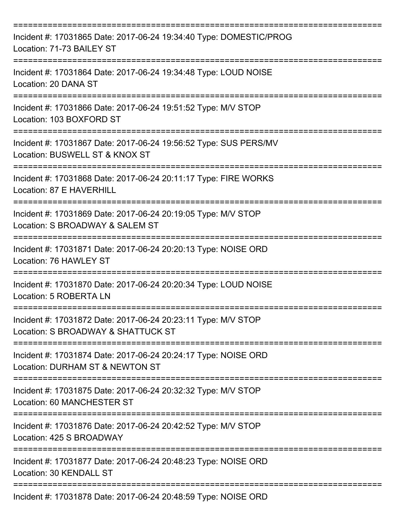| Incident #: 17031865 Date: 2017-06-24 19:34:40 Type: DOMESTIC/PROG<br>Location: 71-73 BAILEY ST     |
|-----------------------------------------------------------------------------------------------------|
| Incident #: 17031864 Date: 2017-06-24 19:34:48 Type: LOUD NOISE<br>Location: 20 DANA ST             |
| Incident #: 17031866 Date: 2017-06-24 19:51:52 Type: M/V STOP<br>Location: 103 BOXFORD ST           |
| Incident #: 17031867 Date: 2017-06-24 19:56:52 Type: SUS PERS/MV<br>Location: BUSWELL ST & KNOX ST  |
| Incident #: 17031868 Date: 2017-06-24 20:11:17 Type: FIRE WORKS<br>Location: 87 E HAVERHILL         |
| Incident #: 17031869 Date: 2017-06-24 20:19:05 Type: M/V STOP<br>Location: S BROADWAY & SALEM ST    |
| Incident #: 17031871 Date: 2017-06-24 20:20:13 Type: NOISE ORD<br>Location: 76 HAWLEY ST            |
| Incident #: 17031870 Date: 2017-06-24 20:20:34 Type: LOUD NOISE<br>Location: 5 ROBERTA LN           |
| Incident #: 17031872 Date: 2017-06-24 20:23:11 Type: M/V STOP<br>Location: S BROADWAY & SHATTUCK ST |
| Incident #: 17031874 Date: 2017-06-24 20:24:17 Type: NOISE ORD<br>Location: DURHAM ST & NEWTON ST   |
| Incident #: 17031875 Date: 2017-06-24 20:32:32 Type: M/V STOP<br>Location: 60 MANCHESTER ST         |
| Incident #: 17031876 Date: 2017-06-24 20:42:52 Type: M/V STOP<br>Location: 425 S BROADWAY           |
| Incident #: 17031877 Date: 2017-06-24 20:48:23 Type: NOISE ORD<br>Location: 30 KENDALL ST           |
| Incident #: 17031878 Date: 2017-06-24 20:48:59 Type: NOISE ORD                                      |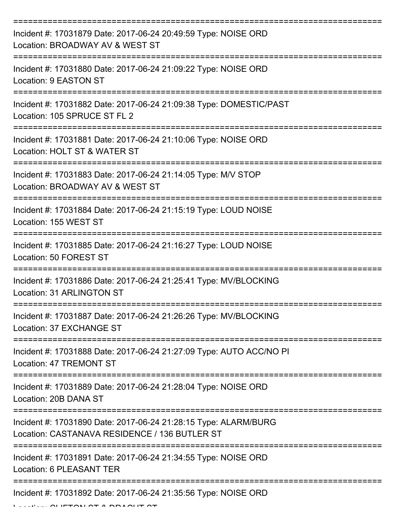| Incident #: 17031879 Date: 2017-06-24 20:49:59 Type: NOISE ORD<br>Location: BROADWAY AV & WEST ST                |
|------------------------------------------------------------------------------------------------------------------|
| Incident #: 17031880 Date: 2017-06-24 21:09:22 Type: NOISE ORD<br>Location: 9 EASTON ST                          |
| Incident #: 17031882 Date: 2017-06-24 21:09:38 Type: DOMESTIC/PAST<br>Location: 105 SPRUCE ST FL 2               |
| Incident #: 17031881 Date: 2017-06-24 21:10:06 Type: NOISE ORD<br>Location: HOLT ST & WATER ST                   |
| Incident #: 17031883 Date: 2017-06-24 21:14:05 Type: M/V STOP<br>Location: BROADWAY AV & WEST ST                 |
| Incident #: 17031884 Date: 2017-06-24 21:15:19 Type: LOUD NOISE<br>Location: 155 WEST ST                         |
| Incident #: 17031885 Date: 2017-06-24 21:16:27 Type: LOUD NOISE<br>Location: 50 FOREST ST                        |
| Incident #: 17031886 Date: 2017-06-24 21:25:41 Type: MV/BLOCKING<br>Location: 31 ARLINGTON ST                    |
| Incident #: 17031887 Date: 2017-06-24 21:26:26 Type: MV/BLOCKING<br>Location: 37 EXCHANGE ST                     |
| Incident #: 17031888 Date: 2017-06-24 21:27:09 Type: AUTO ACC/NO PI<br>Location: 47 TREMONT ST                   |
| Incident #: 17031889 Date: 2017-06-24 21:28:04 Type: NOISE ORD<br>Location: 20B DANA ST                          |
| Incident #: 17031890 Date: 2017-06-24 21:28:15 Type: ALARM/BURG<br>Location: CASTANAVA RESIDENCE / 136 BUTLER ST |
| Incident #: 17031891 Date: 2017-06-24 21:34:55 Type: NOISE ORD<br>Location: 6 PLEASANT TER                       |
| Incident #: 17031892 Date: 2017-06-24 21:35:56 Type: NOISE ORD                                                   |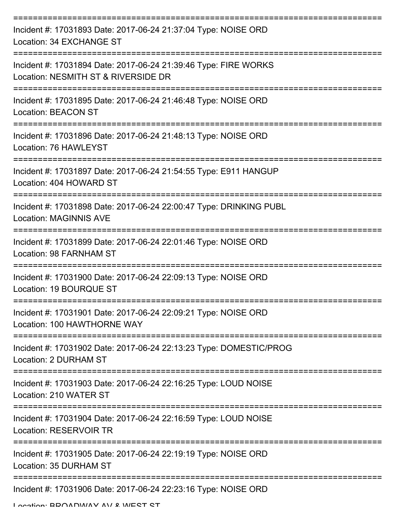| Incident #: 17031893 Date: 2017-06-24 21:37:04 Type: NOISE ORD<br>Location: 34 EXCHANGE ST             |
|--------------------------------------------------------------------------------------------------------|
| Incident #: 17031894 Date: 2017-06-24 21:39:46 Type: FIRE WORKS<br>Location: NESMITH ST & RIVERSIDE DR |
| Incident #: 17031895 Date: 2017-06-24 21:46:48 Type: NOISE ORD<br><b>Location: BEACON ST</b>           |
| Incident #: 17031896 Date: 2017-06-24 21:48:13 Type: NOISE ORD<br>Location: 76 HAWLEYST                |
| Incident #: 17031897 Date: 2017-06-24 21:54:55 Type: E911 HANGUP<br>Location: 404 HOWARD ST            |
| Incident #: 17031898 Date: 2017-06-24 22:00:47 Type: DRINKING PUBL<br><b>Location: MAGINNIS AVE</b>    |
| Incident #: 17031899 Date: 2017-06-24 22:01:46 Type: NOISE ORD<br>Location: 98 FARNHAM ST              |
| Incident #: 17031900 Date: 2017-06-24 22:09:13 Type: NOISE ORD<br>Location: 19 BOURQUE ST              |
| Incident #: 17031901 Date: 2017-06-24 22:09:21 Type: NOISE ORD<br>Location: 100 HAWTHORNE WAY          |
| Incident #: 17031902 Date: 2017-06-24 22:13:23 Type: DOMESTIC/PROG<br>Location: 2 DURHAM ST            |
| Incident #: 17031903 Date: 2017-06-24 22:16:25 Type: LOUD NOISE<br>Location: 210 WATER ST              |
| Incident #: 17031904 Date: 2017-06-24 22:16:59 Type: LOUD NOISE<br><b>Location: RESERVOIR TR</b>       |
| Incident #: 17031905 Date: 2017-06-24 22:19:19 Type: NOISE ORD<br>Location: 35 DURHAM ST               |
| Incident #: 17031906 Date: 2017-06-24 22:23:16 Type: NOISE ORD                                         |

Location: BROADWAY AV & WEST ST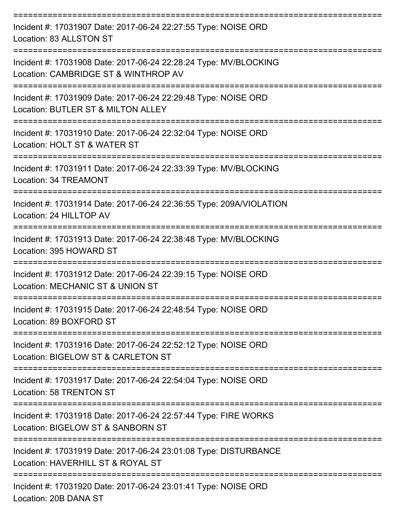| Incident #: 17031907 Date: 2017-06-24 22:27:55 Type: NOISE ORD<br>Location: 83 ALLSTON ST                |
|----------------------------------------------------------------------------------------------------------|
| Incident #: 17031908 Date: 2017-06-24 22:28:24 Type: MV/BLOCKING<br>Location: CAMBRIDGE ST & WINTHROP AV |
| Incident #: 17031909 Date: 2017-06-24 22:29:48 Type: NOISE ORD<br>Location: BUTLER ST & MILTON ALLEY     |
| Incident #: 17031910 Date: 2017-06-24 22:32:04 Type: NOISE ORD<br>Location: HOLT ST & WATER ST           |
| Incident #: 17031911 Date: 2017-06-24 22:33:39 Type: MV/BLOCKING<br>Location: 34 TREAMONT                |
| Incident #: 17031914 Date: 2017-06-24 22:36:55 Type: 209A/VIOLATION<br>Location: 24 HILLTOP AV           |
| Incident #: 17031913 Date: 2017-06-24 22:38:48 Type: MV/BLOCKING<br>Location: 395 HOWARD ST              |
| Incident #: 17031912 Date: 2017-06-24 22:39:15 Type: NOISE ORD<br>Location: MECHANIC ST & UNION ST       |
| Incident #: 17031915 Date: 2017-06-24 22:48:54 Type: NOISE ORD<br>Location: 89 BOXFORD ST                |
| Incident #: 17031916 Date: 2017-06-24 22:52:12 Type: NOISE ORD<br>Location: BIGELOW ST & CARLETON ST     |
| Incident #: 17031917 Date: 2017-06-24 22:54:04 Type: NOISE ORD<br>Location: 58 TRENTON ST                |
| Incident #: 17031918 Date: 2017-06-24 22:57:44 Type: FIRE WORKS<br>Location: BIGELOW ST & SANBORN ST     |
| Incident #: 17031919 Date: 2017-06-24 23:01:08 Type: DISTURBANCE<br>Location: HAVERHILL ST & ROYAL ST    |
| __________________<br>Incident #: 17031920 Date: 2017-06-24 23:01:41 Type: NOISE ORD                     |

Location: 20B DANA ST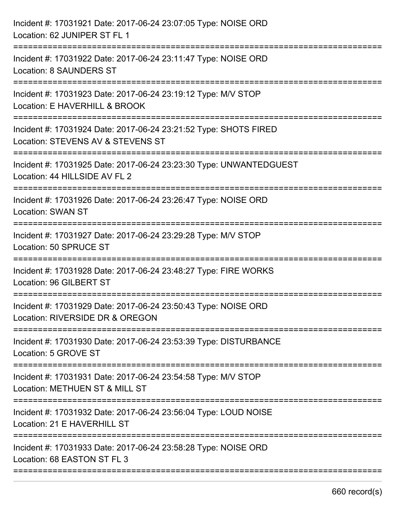| Incident #: 17031921 Date: 2017-06-24 23:07:05 Type: NOISE ORD<br>Location: 62 JUNIPER ST FL 1                                  |
|---------------------------------------------------------------------------------------------------------------------------------|
| :==========================<br>Incident #: 17031922 Date: 2017-06-24 23:11:47 Type: NOISE ORD<br><b>Location: 8 SAUNDERS ST</b> |
| Incident #: 17031923 Date: 2017-06-24 23:19:12 Type: M/V STOP<br>Location: E HAVERHILL & BROOK<br>---------------------------   |
| Incident #: 17031924 Date: 2017-06-24 23:21:52 Type: SHOTS FIRED<br>Location: STEVENS AV & STEVENS ST                           |
| Incident #: 17031925 Date: 2017-06-24 23:23:30 Type: UNWANTEDGUEST<br>Location: 44 HILLSIDE AV FL 2                             |
| Incident #: 17031926 Date: 2017-06-24 23:26:47 Type: NOISE ORD<br><b>Location: SWAN ST</b>                                      |
| Incident #: 17031927 Date: 2017-06-24 23:29:28 Type: M/V STOP<br>Location: 50 SPRUCE ST                                         |
| Incident #: 17031928 Date: 2017-06-24 23:48:27 Type: FIRE WORKS<br>Location: 96 GILBERT ST                                      |
| Incident #: 17031929 Date: 2017-06-24 23:50:43 Type: NOISE ORD<br>Location: RIVERSIDE DR & OREGON                               |
| Incident #: 17031930 Date: 2017-06-24 23:53:39 Type: DISTURBANCE<br>Location: 5 GROVE ST                                        |
| Incident #: 17031931 Date: 2017-06-24 23:54:58 Type: M/V STOP<br>Location: METHUEN ST & MILL ST                                 |
| Incident #: 17031932 Date: 2017-06-24 23:56:04 Type: LOUD NOISE<br>Location: 21 E HAVERHILL ST                                  |
| Incident #: 17031933 Date: 2017-06-24 23:58:28 Type: NOISE ORD<br>Location: 68 EASTON ST FL 3                                   |